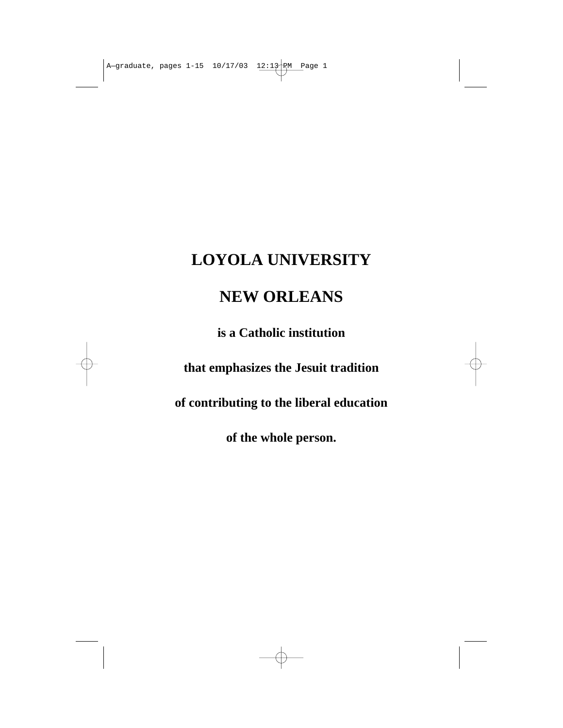## **LOYOLA UNIVERSITY**

# **NEW ORLEANS**

**is a Catholic institution** 

**that emphasizes the Jesuit tradition** 

**of contributing to the liberal education** 

**of the whole person.**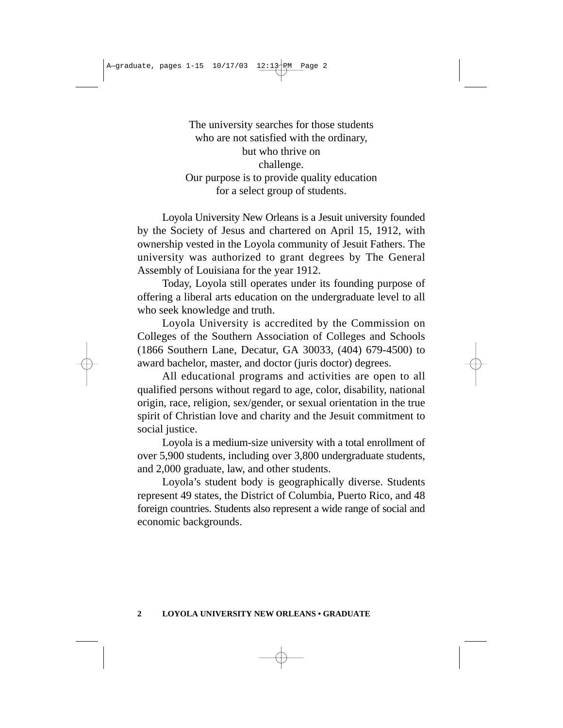The university searches for those students who are not satisfied with the ordinary, but who thrive on challenge. Our purpose is to provide quality education for a select group of students.

Loyola University New Orleans is a Jesuit university founded by the Society of Jesus and chartered on April 15, 1912, with ownership vested in the Loyola community of Jesuit Fathers. The university was authorized to grant degrees by The General Assembly of Louisiana for the year 1912.

Today, Loyola still operates under its founding purpose of offering a liberal arts education on the undergraduate level to all who seek knowledge and truth.

Loyola University is accredited by the Commission on Colleges of the Southern Association of Colleges and Schools (1866 Southern Lane, Decatur, GA 30033, (404) 679-4500) to award bachelor, master, and doctor (juris doctor) degrees.

All educational programs and activities are open to all qualified persons without regard to age, color, disability, national origin, race, religion, sex/gender, or sexual orientation in the true spirit of Christian love and charity and the Jesuit commitment to social justice.

Loyola is a medium-size university with a total enrollment of over 5,900 students, including over 3,800 undergraduate students, and 2,000 graduate, law, and other students.

Loyola's student body is geographically diverse. Students represent 49 states, the District of Columbia, Puerto Rico, and 48 foreign countries. Students also represent a wide range of social and economic backgrounds.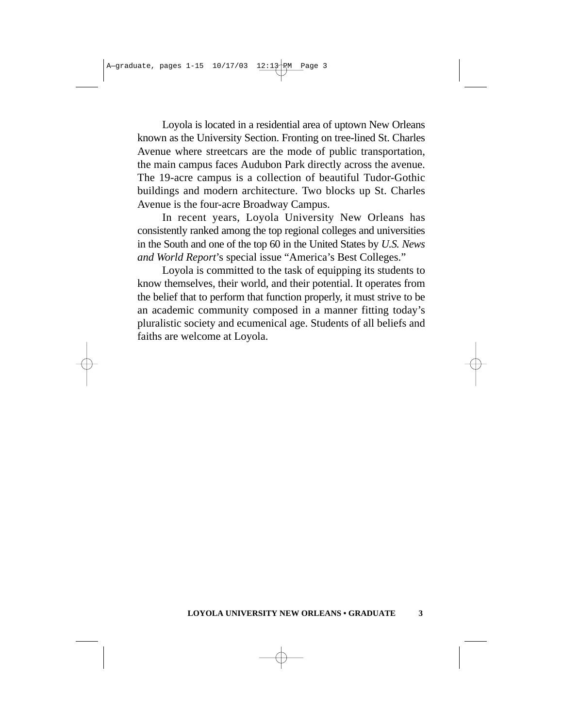Loyola is located in a residential area of uptown New Orleans known as the University Section. Fronting on tree-lined St. Charles Avenue where streetcars are the mode of public transportation, the main campus faces Audubon Park directly across the avenue. The 19-acre campus is a collection of beautiful Tudor-Gothic buildings and modern architecture. Two blocks up St. Charles Avenue is the four-acre Broadway Campus.

In recent years, Loyola University New Orleans has consistently ranked among the top regional colleges and universities in the South and one of the top 60 in the United States by *U.S. News and World Report*'s special issue "America's Best Colleges."

Loyola is committed to the task of equipping its students to know themselves, their world, and their potential. It operates from the belief that to perform that function properly, it must strive to be an academic community composed in a manner fitting today's pluralistic society and ecumenical age. Students of all beliefs and faiths are welcome at Loyola.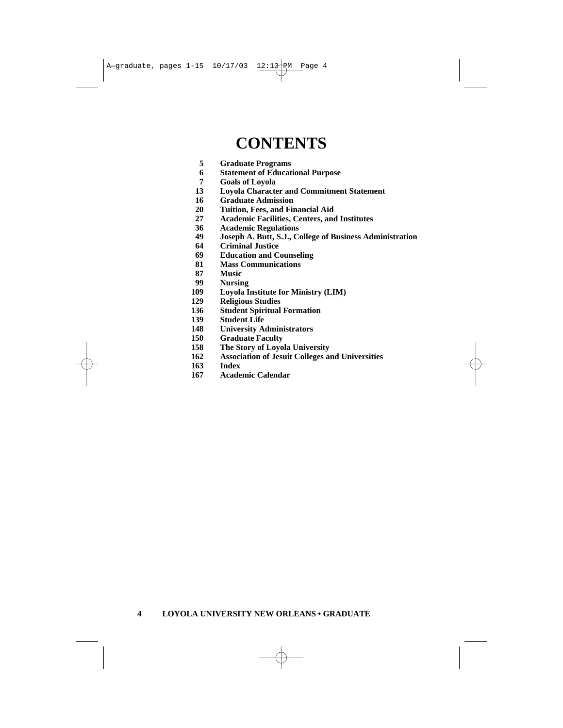## **CONTENTS**

- **5 Graduate Programs**
- **6 Statement of Educational Purpose**
- **7 Goals of Loyola**
- **13 Loyola Character and Commitment Statement**
- **16 Graduate Admission**
- **20 Tuition, Fees, and Financial Aid**
- **27 Academic Facilities, Centers, and Institutes**
- **36 Academic Regulations**
- **49 Joseph A. Butt, S.J., College of Business Administration**
- **64 Criminal Justice**
- **69 Education and Counseling**
- **81 Mass Communications**
- **87 Music**
- **99 Nursing**
- **109 Loyola Institute for Ministry (LIM)**
- **129 Religious Studies**
- **136 Student Spiritual Formation**
- **139 Student Life**
- **148 University Administrators**
- **150 Graduate Faculty**
- **158 The Story of Loyola University<br>
162 Association of Jesuit Colleges at**
- **162 Association of Jesuit Colleges and Universities**
- **163 Index**
- **167 Academic Calendar**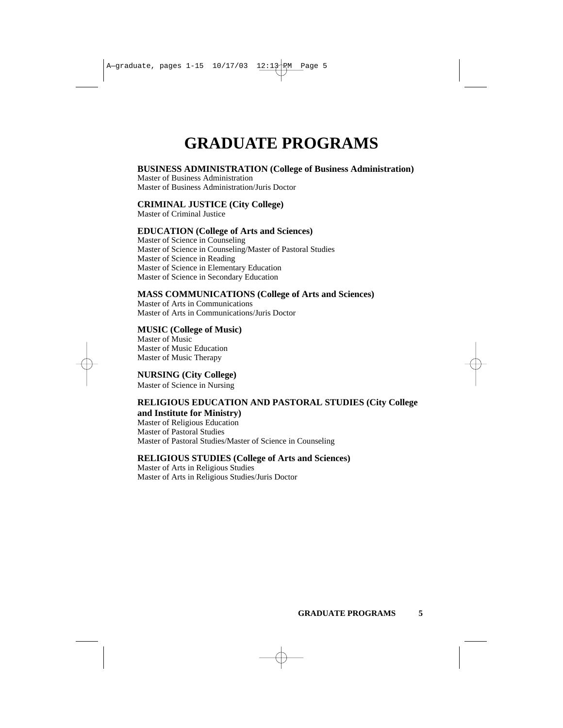# **GRADUATE PROGRAMS**

### **BUSINESS ADMINISTRATION (College of Business Administration)**

Master of Business Administration Master of Business Administration/Juris Doctor

### **CRIMINAL JUSTICE (City College)**

Master of Criminal Justice

## **EDUCATION (College of Arts and Sciences)**

Master of Science in Counseling Master of Science in Counseling/Master of Pastoral Studies Master of Science in Reading Master of Science in Elementary Education Master of Science in Secondary Education

## **MASS COMMUNICATIONS (College of Arts and Sciences)**

Master of Arts in Communications Master of Arts in Communications/Juris Doctor

### **MUSIC (College of Music)**

Master of Music Master of Music Education Master of Music Therapy

### **NURSING (City College)**

Master of Science in Nursing

### **RELIGIOUS EDUCATION AND PASTORAL STUDIES (City College and Institute for Ministry)**

Master of Religious Education Master of Pastoral Studies Master of Pastoral Studies/Master of Science in Counseling

### **RELIGIOUS STUDIES (College of Arts and Sciences)**

Master of Arts in Religious Studies Master of Arts in Religious Studies/Juris Doctor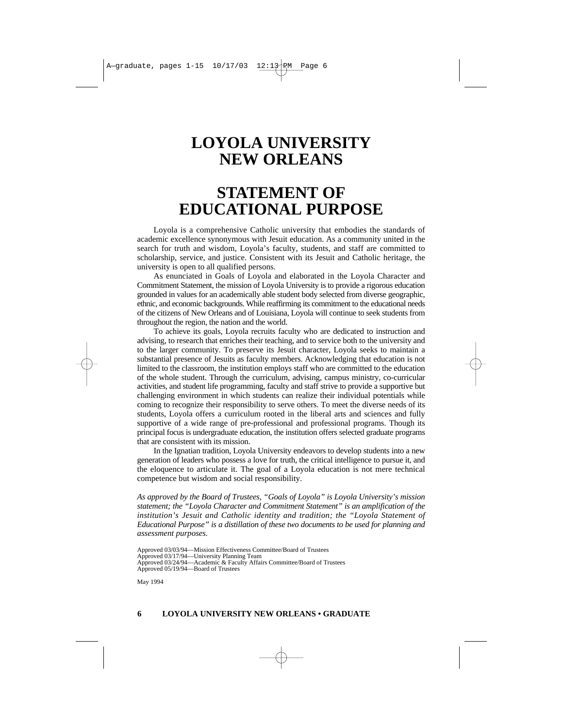## **LOYOLA UNIVERSITY NEW ORLEANS**

## **STATEMENT OF EDUCATIONAL PURPOSE**

Loyola is a comprehensive Catholic university that embodies the standards of academic excellence synonymous with Jesuit education. As a community united in the search for truth and wisdom, Loyola's faculty, students, and staff are committed to scholarship, service, and justice. Consistent with its Jesuit and Catholic heritage, the university is open to all qualified persons.

As enunciated in Goals of Loyola and elaborated in the Loyola Character and Commitment Statement, the mission of Loyola University is to provide a rigorous education grounded in values for an academically able student body selected from diverse geographic, ethnic, and economic backgrounds. While reaffirming its commitment to the educational needs of the citizens of New Orleans and of Louisiana, Loyola will continue to seek students from throughout the region, the nation and the world.

To achieve its goals, Loyola recruits faculty who are dedicated to instruction and advising, to research that enriches their teaching, and to service both to the university and to the larger community. To preserve its Jesuit character, Loyola seeks to maintain a substantial presence of Jesuits as faculty members. Acknowledging that education is not limited to the classroom, the institution employs staff who are committed to the education of the whole student. Through the curriculum, advising, campus ministry, co-curricular activities, and student life programming, faculty and staff strive to provide a supportive but challenging environment in which students can realize their individual potentials while coming to recognize their responsibility to serve others. To meet the diverse needs of its students, Loyola offers a curriculum rooted in the liberal arts and sciences and fully supportive of a wide range of pre-professional and professional programs. Though its principal focus is undergraduate education, the institution offers selected graduate programs that are consistent with its mission.

In the Ignatian tradition, Loyola University endeavors to develop students into a new generation of leaders who possess a love for truth, the critical intelligence to pursue it, and the eloquence to articulate it. The goal of a Loyola education is not mere technical competence but wisdom and social responsibility.

*As approved by the Board of Trustees, "Goals of Loyola" is Loyola University's mission statement; the "Loyola Character and Commitment Statement" is an amplification of the institution's Jesuit and Catholic identity and tradition; the "Loyola Statement of Educational Purpose" is a distillation of these two documents to be used for planning and assessment purposes.*

Approved 03/03/94—Mission Effectiveness Committee/Board of Trustees

Approved 03/17/94—University Planning Team

May 1994

Approved 03/24/94—Academic & Faculty Affairs Committee/Board of Trustees

Approved 05/19/94—Board of Trustees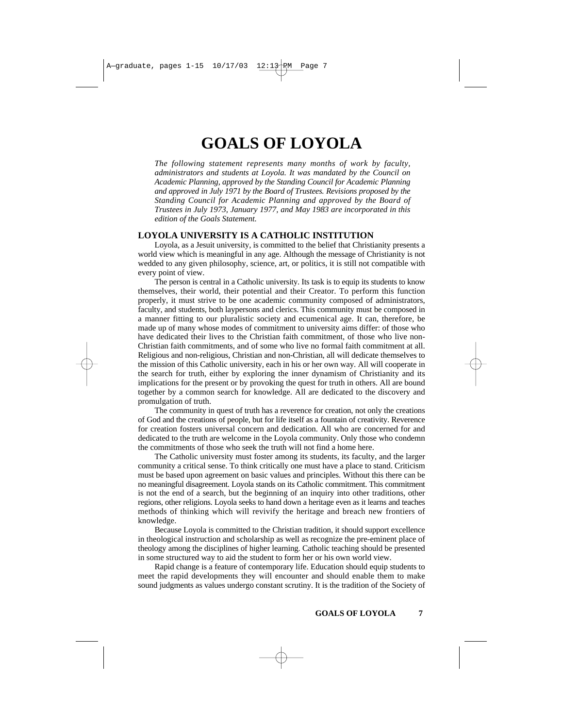## **GOALS OF LOYOLA**

*The following statement represents many months of work by faculty, administrators and students at Loyola. It was mandated by the Council on Academic Planning, approved by the Standing Council for Academic Planning and approved in July 1971 by the Board of Trustees. Revisions proposed by the Standing Council for Academic Planning and approved by the Board of Trustees in July 1973, January 1977, and May 1983 are incorporated in this edition of the Goals Statement.*

### **LOYOLA UNIVERSITY IS A CATHOLIC INSTITUTION**

Loyola, as a Jesuit university, is committed to the belief that Christianity presents a world view which is meaningful in any age. Although the message of Christianity is not wedded to any given philosophy, science, art, or politics, it is still not compatible with every point of view.

The person is central in a Catholic university. Its task is to equip its students to know themselves, their world, their potential and their Creator. To perform this function properly, it must strive to be one academic community composed of administrators, faculty, and students, both laypersons and clerics. This community must be composed in a manner fitting to our pluralistic society and ecumenical age. It can, therefore, be made up of many whose modes of commitment to university aims differ: of those who have dedicated their lives to the Christian faith commitment, of those who live non-Christian faith commitments, and of some who live no formal faith commitment at all. Religious and non-religious, Christian and non-Christian, all will dedicate themselves to the mission of this Catholic university, each in his or her own way. All will cooperate in the search for truth, either by exploring the inner dynamism of Christianity and its implications for the present or by provoking the quest for truth in others. All are bound together by a common search for knowledge. All are dedicated to the discovery and promulgation of truth.

The community in quest of truth has a reverence for creation, not only the creations of God and the creations of people, but for life itself as a fountain of creativity. Reverence for creation fosters universal concern and dedication. All who are concerned for and dedicated to the truth are welcome in the Loyola community. Only those who condemn the commitments of those who seek the truth will not find a home here.

The Catholic university must foster among its students, its faculty, and the larger community a critical sense. To think critically one must have a place to stand. Criticism must be based upon agreement on basic values and principles. Without this there can be no meaningful disagreement. Loyola stands on its Catholic commitment. This commitment is not the end of a search, but the beginning of an inquiry into other traditions, other regions, other religions. Loyola seeks to hand down a heritage even as it learns and teaches methods of thinking which will revivify the heritage and breach new frontiers of knowledge.

Because Loyola is committed to the Christian tradition, it should support excellence in theological instruction and scholarship as well as recognize the pre-eminent place of theology among the disciplines of higher learning. Catholic teaching should be presented in some structured way to aid the student to form her or his own world view.

Rapid change is a feature of contemporary life. Education should equip students to meet the rapid developments they will encounter and should enable them to make sound judgments as values undergo constant scrutiny. It is the tradition of the Society of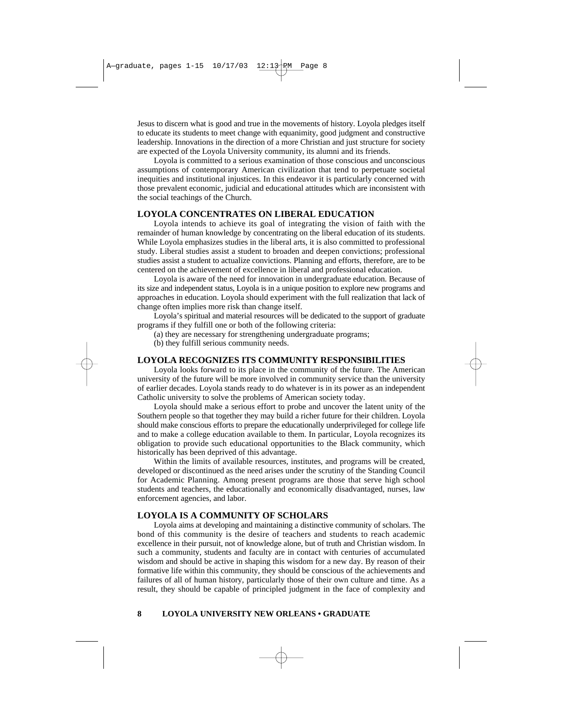Jesus to discern what is good and true in the movements of history. Loyola pledges itself to educate its students to meet change with equanimity, good judgment and constructive leadership. Innovations in the direction of a more Christian and just structure for society are expected of the Loyola University community, its alumni and its friends.

Loyola is committed to a serious examination of those conscious and unconscious assumptions of contemporary American civilization that tend to perpetuate societal inequities and institutional injustices. In this endeavor it is particularly concerned with those prevalent economic, judicial and educational attitudes which are inconsistent with the social teachings of the Church.

#### **LOYOLA CONCENTRATES ON LIBERAL EDUCATION**

Loyola intends to achieve its goal of integrating the vision of faith with the remainder of human knowledge by concentrating on the liberal education of its students. While Loyola emphasizes studies in the liberal arts, it is also committed to professional study. Liberal studies assist a student to broaden and deepen convictions; professional studies assist a student to actualize convictions. Planning and efforts, therefore, are to be centered on the achievement of excellence in liberal and professional education.

Loyola is aware of the need for innovation in undergraduate education. Because of its size and independent status, Loyola is in a unique position to explore new programs and approaches in education. Loyola should experiment with the full realization that lack of change often implies more risk than change itself.

Loyola's spiritual and material resources will be dedicated to the support of graduate programs if they fulfill one or both of the following criteria:

(a) they are necessary for strengthening undergraduate programs;

(b) they fulfill serious community needs.

#### **LOYOLA RECOGNIZES ITS COMMUNITY RESPONSIBILITIES**

Loyola looks forward to its place in the community of the future. The American university of the future will be more involved in community service than the university of earlier decades. Loyola stands ready to do whatever is in its power as an independent Catholic university to solve the problems of American society today.

Loyola should make a serious effort to probe and uncover the latent unity of the Southern people so that together they may build a richer future for their children. Loyola should make conscious efforts to prepare the educationally underprivileged for college life and to make a college education available to them. In particular, Loyola recognizes its obligation to provide such educational opportunities to the Black community, which historically has been deprived of this advantage.

Within the limits of available resources, institutes, and programs will be created, developed or discontinued as the need arises under the scrutiny of the Standing Council for Academic Planning. Among present programs are those that serve high school students and teachers, the educationally and economically disadvantaged, nurses, law enforcement agencies, and labor.

#### **LOYOLA IS A COMMUNITY OF SCHOLARS**

Loyola aims at developing and maintaining a distinctive community of scholars. The bond of this community is the desire of teachers and students to reach academic excellence in their pursuit, not of knowledge alone, but of truth and Christian wisdom. In such a community, students and faculty are in contact with centuries of accumulated wisdom and should be active in shaping this wisdom for a new day. By reason of their formative life within this community, they should be conscious of the achievements and failures of all of human history, particularly those of their own culture and time. As a result, they should be capable of principled judgment in the face of complexity and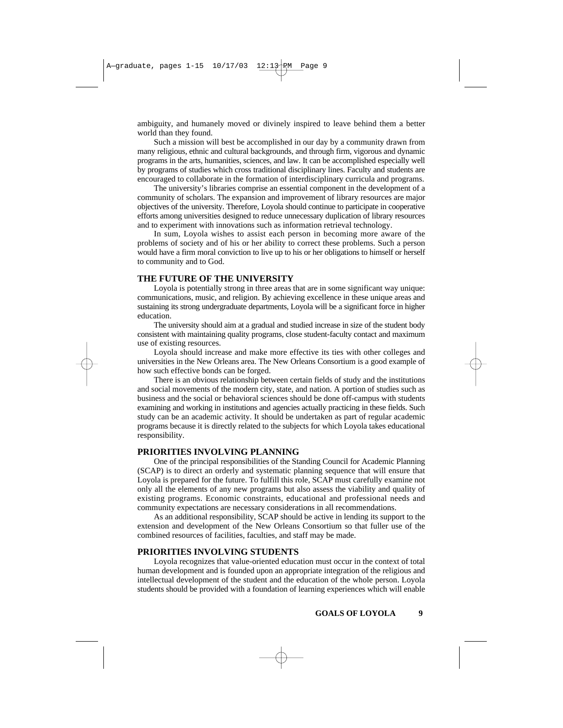ambiguity, and humanely moved or divinely inspired to leave behind them a better world than they found.

Such a mission will best be accomplished in our day by a community drawn from many religious, ethnic and cultural backgrounds, and through firm, vigorous and dynamic programs in the arts, humanities, sciences, and law. It can be accomplished especially well by programs of studies which cross traditional disciplinary lines. Faculty and students are encouraged to collaborate in the formation of interdisciplinary curricula and programs.

The university's libraries comprise an essential component in the development of a community of scholars. The expansion and improvement of library resources are major objectives of the university. Therefore, Loyola should continue to participate in cooperative efforts among universities designed to reduce unnecessary duplication of library resources and to experiment with innovations such as information retrieval technology.

In sum, Loyola wishes to assist each person in becoming more aware of the problems of society and of his or her ability to correct these problems. Such a person would have a firm moral conviction to live up to his or her obligations to himself or herself to community and to God.

### **THE FUTURE OF THE UNIVERSITY**

Loyola is potentially strong in three areas that are in some significant way unique: communications, music, and religion. By achieving excellence in these unique areas and sustaining its strong undergraduate departments, Loyola will be a significant force in higher education.

The university should aim at a gradual and studied increase in size of the student body consistent with maintaining quality programs, close student-faculty contact and maximum use of existing resources.

Loyola should increase and make more effective its ties with other colleges and universities in the New Orleans area. The New Orleans Consortium is a good example of how such effective bonds can be forged.

There is an obvious relationship between certain fields of study and the institutions and social movements of the modern city, state, and nation. A portion of studies such as business and the social or behavioral sciences should be done off-campus with students examining and working in institutions and agencies actually practicing in these fields. Such study can be an academic activity. It should be undertaken as part of regular academic programs because it is directly related to the subjects for which Loyola takes educational responsibility.

#### **PRIORITIES INVOLVING PLANNING**

One of the principal responsibilities of the Standing Council for Academic Planning (SCAP) is to direct an orderly and systematic planning sequence that will ensure that Loyola is prepared for the future. To fulfill this role, SCAP must carefully examine not only all the elements of any new programs but also assess the viability and quality of existing programs. Economic constraints, educational and professional needs and community expectations are necessary considerations in all recommendations.

As an additional responsibility, SCAP should be active in lending its support to the extension and development of the New Orleans Consortium so that fuller use of the combined resources of facilities, faculties, and staff may be made.

### **PRIORITIES INVOLVING STUDENTS**

Loyola recognizes that value-oriented education must occur in the context of total human development and is founded upon an appropriate integration of the religious and intellectual development of the student and the education of the whole person. Loyola students should be provided with a foundation of learning experiences which will enable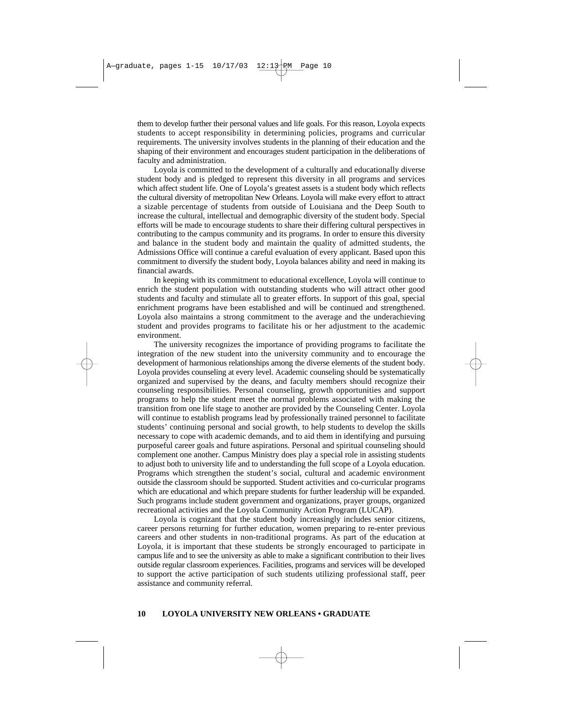them to develop further their personal values and life goals. For this reason, Loyola expects students to accept responsibility in determining policies, programs and curricular requirements. The university involves students in the planning of their education and the shaping of their environment and encourages student participation in the deliberations of faculty and administration.

Loyola is committed to the development of a culturally and educationally diverse student body and is pledged to represent this diversity in all programs and services which affect student life. One of Loyola's greatest assets is a student body which reflects the cultural diversity of metropolitan New Orleans. Loyola will make every effort to attract a sizable percentage of students from outside of Louisiana and the Deep South to increase the cultural, intellectual and demographic diversity of the student body. Special efforts will be made to encourage students to share their differing cultural perspectives in contributing to the campus community and its programs. In order to ensure this diversity and balance in the student body and maintain the quality of admitted students, the Admissions Office will continue a careful evaluation of every applicant. Based upon this commitment to diversify the student body, Loyola balances ability and need in making its financial awards.

In keeping with its commitment to educational excellence, Loyola will continue to enrich the student population with outstanding students who will attract other good students and faculty and stimulate all to greater efforts. In support of this goal, special enrichment programs have been established and will be continued and strengthened. Loyola also maintains a strong commitment to the average and the underachieving student and provides programs to facilitate his or her adjustment to the academic environment.

The university recognizes the importance of providing programs to facilitate the integration of the new student into the university community and to encourage the development of harmonious relationships among the diverse elements of the student body. Loyola provides counseling at every level. Academic counseling should be systematically organized and supervised by the deans, and faculty members should recognize their counseling responsibilities. Personal counseling, growth opportunities and support programs to help the student meet the normal problems associated with making the transition from one life stage to another are provided by the Counseling Center. Loyola will continue to establish programs lead by professionally trained personnel to facilitate students' continuing personal and social growth, to help students to develop the skills necessary to cope with academic demands, and to aid them in identifying and pursuing purposeful career goals and future aspirations. Personal and spiritual counseling should complement one another. Campus Ministry does play a special role in assisting students to adjust both to university life and to understanding the full scope of a Loyola education. Programs which strengthen the student's social, cultural and academic environment outside the classroom should be supported. Student activities and co-curricular programs which are educational and which prepare students for further leadership will be expanded. Such programs include student government and organizations, prayer groups, organized recreational activities and the Loyola Community Action Program (LUCAP).

Loyola is cognizant that the student body increasingly includes senior citizens, career persons returning for further education, women preparing to re-enter previous careers and other students in non-traditional programs. As part of the education at Loyola, it is important that these students be strongly encouraged to participate in campus life and to see the university as able to make a significant contribution to their lives outside regular classroom experiences. Facilities, programs and services will be developed to support the active participation of such students utilizing professional staff, peer assistance and community referral.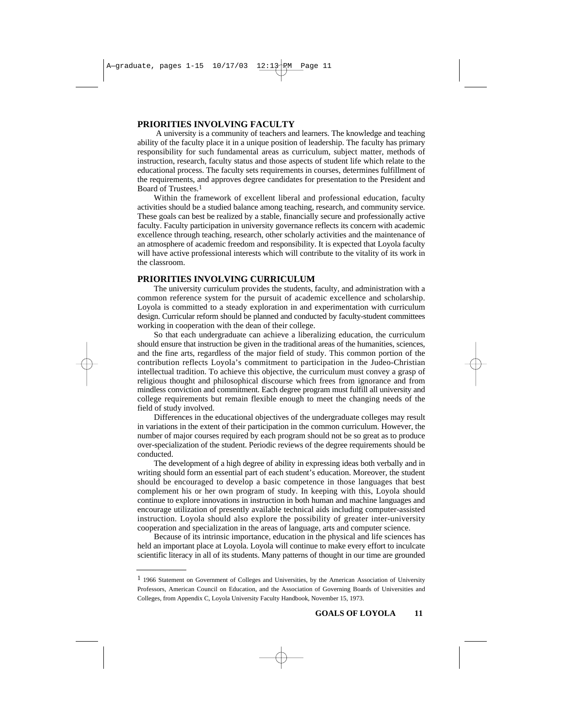### **PRIORITIES INVOLVING FACULTY**

A university is a community of teachers and learners. The knowledge and teaching ability of the faculty place it in a unique position of leadership. The faculty has primary responsibility for such fundamental areas as curriculum, subject matter, methods of instruction, research, faculty status and those aspects of student life which relate to the educational process. The faculty sets requirements in courses, determines fulfillment of the requirements, and approves degree candidates for presentation to the President and Board of Trustees.<sup>1</sup>

Within the framework of excellent liberal and professional education, faculty activities should be a studied balance among teaching, research, and community service. These goals can best be realized by a stable, financially secure and professionally active faculty. Faculty participation in university governance reflects its concern with academic excellence through teaching, research, other scholarly activities and the maintenance of an atmosphere of academic freedom and responsibility. It is expected that Loyola faculty will have active professional interests which will contribute to the vitality of its work in the classroom.

### **PRIORITIES INVOLVING CURRICULUM**

The university curriculum provides the students, faculty, and administration with a common reference system for the pursuit of academic excellence and scholarship. Loyola is committed to a steady exploration in and experimentation with curriculum design. Curricular reform should be planned and conducted by faculty-student committees working in cooperation with the dean of their college.

So that each undergraduate can achieve a liberalizing education, the curriculum should ensure that instruction be given in the traditional areas of the humanities, sciences, and the fine arts, regardless of the major field of study. This common portion of the contribution reflects Loyola's commitment to participation in the Judeo-Christian intellectual tradition. To achieve this objective, the curriculum must convey a grasp of religious thought and philosophical discourse which frees from ignorance and from mindless conviction and commitment. Each degree program must fulfill all university and college requirements but remain flexible enough to meet the changing needs of the field of study involved.

Differences in the educational objectives of the undergraduate colleges may result in variations in the extent of their participation in the common curriculum. However, the number of major courses required by each program should not be so great as to produce over-specialization of the student. Periodic reviews of the degree requirements should be conducted.

The development of a high degree of ability in expressing ideas both verbally and in writing should form an essential part of each student's education. Moreover, the student should be encouraged to develop a basic competence in those languages that best complement his or her own program of study. In keeping with this, Loyola should continue to explore innovations in instruction in both human and machine languages and encourage utilization of presently available technical aids including computer-assisted instruction. Loyola should also explore the possibility of greater inter-university cooperation and specialization in the areas of language, arts and computer science.

Because of its intrinsic importance, education in the physical and life sciences has held an important place at Loyola. Loyola will continue to make every effort to inculcate scientific literacy in all of its students. Many patterns of thought in our time are grounded

<sup>&</sup>lt;sup>1</sup> 1966 Statement on Government of Colleges and Universities, by the American Association of University Professors, American Council on Education, and the Association of Governing Boards of Universities and Colleges, from Appendix C, Loyola University Faculty Handbook, November 15, 1973.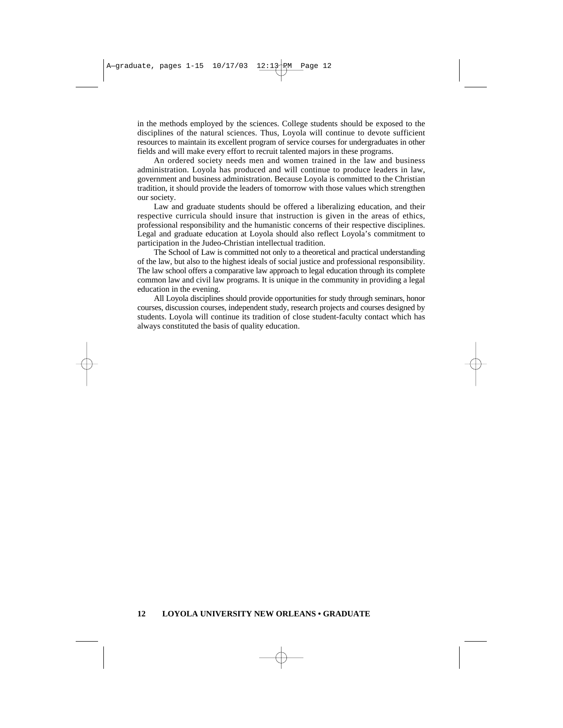in the methods employed by the sciences. College students should be exposed to the disciplines of the natural sciences. Thus, Loyola will continue to devote sufficient resources to maintain its excellent program of service courses for undergraduates in other fields and will make every effort to recruit talented majors in these programs.

An ordered society needs men and women trained in the law and business administration. Loyola has produced and will continue to produce leaders in law, government and business administration. Because Loyola is committed to the Christian tradition, it should provide the leaders of tomorrow with those values which strengthen our society.

Law and graduate students should be offered a liberalizing education, and their respective curricula should insure that instruction is given in the areas of ethics, professional responsibility and the humanistic concerns of their respective disciplines. Legal and graduate education at Loyola should also reflect Loyola's commitment to participation in the Judeo-Christian intellectual tradition.

The School of Law is committed not only to a theoretical and practical understanding of the law, but also to the highest ideals of social justice and professional responsibility. The law school offers a comparative law approach to legal education through its complete common law and civil law programs. It is unique in the community in providing a legal education in the evening.

All Loyola disciplines should provide opportunities for study through seminars, honor courses, discussion courses, independent study, research projects and courses designed by students. Loyola will continue its tradition of close student-faculty contact which has always constituted the basis of quality education.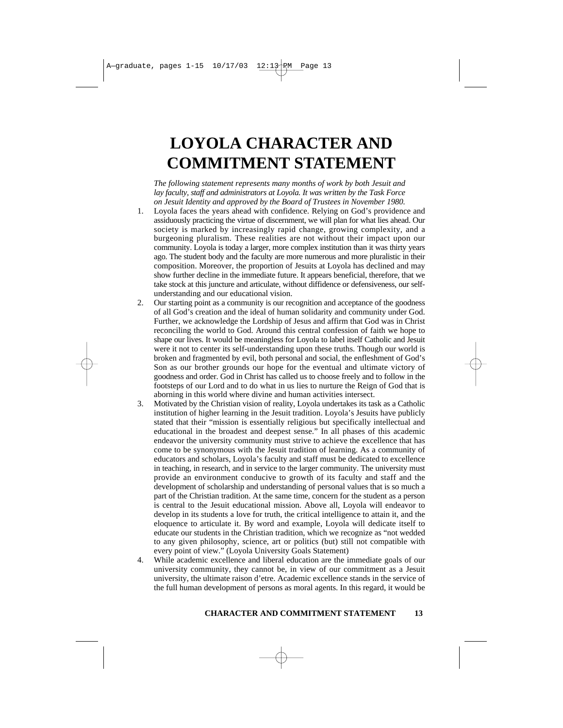## **LOYOLA CHARACTER AND COMMITMENT STATEMENT**

*The following statement represents many months of work by both Jesuit and lay faculty, staff and administrators at Loyola. It was written by the Task Force on Jesuit Identity and approved by the Board of Trustees in November 1980.*

- 1. Loyola faces the years ahead with confidence. Relying on God's providence and assiduously practicing the virtue of discernment, we will plan for what lies ahead. Our society is marked by increasingly rapid change, growing complexity, and a burgeoning pluralism. These realities are not without their impact upon our community. Loyola is today a larger, more complex institution than it was thirty years ago. The student body and the faculty are more numerous and more pluralistic in their composition. Moreover, the proportion of Jesuits at Loyola has declined and may show further decline in the immediate future. It appears beneficial, therefore, that we take stock at this juncture and articulate, without diffidence or defensiveness, our selfunderstanding and our educational vision.
- 2. Our starting point as a community is our recognition and acceptance of the goodness of all God's creation and the ideal of human solidarity and community under God. Further, we acknowledge the Lordship of Jesus and affirm that God was in Christ reconciling the world to God. Around this central confession of faith we hope to shape our lives. It would be meaningless for Loyola to label itself Catholic and Jesuit were it not to center its self-understanding upon these truths. Though our world is broken and fragmented by evil, both personal and social, the enfleshment of God's Son as our brother grounds our hope for the eventual and ultimate victory of goodness and order. God in Christ has called us to choose freely and to follow in the footsteps of our Lord and to do what in us lies to nurture the Reign of God that is aborning in this world where divine and human activities intersect.
- 3. Motivated by the Christian vision of reality, Loyola undertakes its task as a Catholic institution of higher learning in the Jesuit tradition. Loyola's Jesuits have publicly stated that their "mission is essentially religious but specifically intellectual and educational in the broadest and deepest sense." In all phases of this academic endeavor the university community must strive to achieve the excellence that has come to be synonymous with the Jesuit tradition of learning. As a community of educators and scholars, Loyola's faculty and staff must be dedicated to excellence in teaching, in research, and in service to the larger community. The university must provide an environment conducive to growth of its faculty and staff and the development of scholarship and understanding of personal values that is so much a part of the Christian tradition. At the same time, concern for the student as a person is central to the Jesuit educational mission. Above all, Loyola will endeavor to develop in its students a love for truth, the critical intelligence to attain it, and the eloquence to articulate it. By word and example, Loyola will dedicate itself to educate our students in the Christian tradition, which we recognize as "not wedded to any given philosophy, science, art or politics (but) still not compatible with every point of view." (Loyola University Goals Statement)
- 4. While academic excellence and liberal education are the immediate goals of our university community, they cannot be, in view of our commitment as a Jesuit university, the ultimate raison d'etre. Academic excellence stands in the service of the full human development of persons as moral agents. In this regard, it would be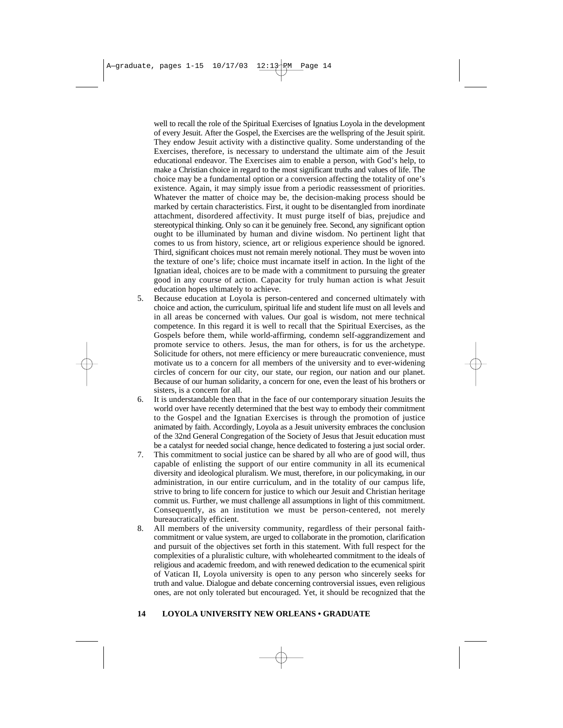well to recall the role of the Spiritual Exercises of Ignatius Loyola in the development of every Jesuit. After the Gospel, the Exercises are the wellspring of the Jesuit spirit. They endow Jesuit activity with a distinctive quality. Some understanding of the Exercises, therefore, is necessary to understand the ultimate aim of the Jesuit educational endeavor. The Exercises aim to enable a person, with God's help, to make a Christian choice in regard to the most significant truths and values of life. The choice may be a fundamental option or a conversion affecting the totality of one's existence. Again, it may simply issue from a periodic reassessment of priorities. Whatever the matter of choice may be, the decision-making process should be marked by certain characteristics. First, it ought to be disentangled from inordinate attachment, disordered affectivity. It must purge itself of bias, prejudice and stereotypical thinking. Only so can it be genuinely free. Second, any significant option ought to be illuminated by human and divine wisdom. No pertinent light that comes to us from history, science, art or religious experience should be ignored. Third, significant choices must not remain merely notional. They must be woven into the texture of one's life; choice must incarnate itself in action. In the light of the Ignatian ideal, choices are to be made with a commitment to pursuing the greater good in any course of action. Capacity for truly human action is what Jesuit education hopes ultimately to achieve.

- 5. Because education at Loyola is person-centered and concerned ultimately with choice and action, the curriculum, spiritual life and student life must on all levels and in all areas be concerned with values. Our goal is wisdom, not mere technical competence. In this regard it is well to recall that the Spiritual Exercises, as the Gospels before them, while world-affirming, condemn self-aggrandizement and promote service to others. Jesus, the man for others, is for us the archetype. Solicitude for others, not mere efficiency or mere bureaucratic convenience, must motivate us to a concern for all members of the university and to ever-widening circles of concern for our city, our state, our region, our nation and our planet. Because of our human solidarity, a concern for one, even the least of his brothers or sisters, is a concern for all.
- 6. It is understandable then that in the face of our contemporary situation Jesuits the world over have recently determined that the best way to embody their commitment to the Gospel and the Ignatian Exercises is through the promotion of justice animated by faith. Accordingly, Loyola as a Jesuit university embraces the conclusion of the 32nd General Congregation of the Society of Jesus that Jesuit education must be a catalyst for needed social change, hence dedicated to fostering a just social order.
- 7. This commitment to social justice can be shared by all who are of good will, thus capable of enlisting the support of our entire community in all its ecumenical diversity and ideological pluralism. We must, therefore, in our policymaking, in our administration, in our entire curriculum, and in the totality of our campus life, strive to bring to life concern for justice to which our Jesuit and Christian heritage commit us. Further, we must challenge all assumptions in light of this commitment. Consequently, as an institution we must be person-centered, not merely bureaucratically efficient.
- 8. All members of the university community, regardless of their personal faithcommitment or value system, are urged to collaborate in the promotion, clarification and pursuit of the objectives set forth in this statement. With full respect for the complexities of a pluralistic culture, with wholehearted commitment to the ideals of religious and academic freedom, and with renewed dedication to the ecumenical spirit of Vatican II, Loyola university is open to any person who sincerely seeks for truth and value. Dialogue and debate concerning controversial issues, even religious ones, are not only tolerated but encouraged. Yet, it should be recognized that the

#### **14 LOYOLA UNIVERSITY NEW ORLEANS • GRADUATE**